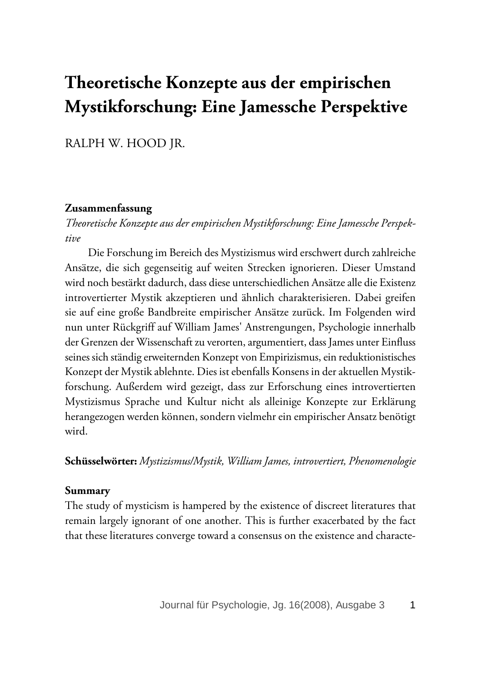# **Theoretische Konzepte aus der empirischen Mystikforschung: Eine Jamessche Perspektive**

RALPH W. HOOD JR.

#### **Zusammenfassung**

*Theoretische Konzepte aus der empirischen Mystikforschung: Eine Jamessche Perspektive*

Die Forschung im Bereich des Mystizismus wird erschwert durch zahlreiche Ansätze, die sich gegenseitig auf weiten Strecken ignorieren. Dieser Umstand wird noch bestärkt dadurch, dass diese unterschiedlichen Ansätze alle die Existenz introvertierter Mystik akzeptieren und ähnlich charakterisieren. Dabei greifen sie auf eine große Bandbreite empirischer Ansätze zurück. Im Folgenden wird nun unter Rückgriff auf William James' Anstrengungen, Psychologie innerhalb der Grenzen der Wissenschaft zu verorten, argumentiert, dass James unter Einfluss seines sich ständig erweiternden Konzept von Empirizismus, ein reduktionistisches Konzept der Mystik ablehnte. Dies ist ebenfalls Konsens in der aktuellen Mystikforschung. Außerdem wird gezeigt, dass zur Erforschung eines introvertierten Mystizismus Sprache und Kultur nicht als alleinige Konzepte zur Erklärung herangezogen werden können, sondern vielmehr ein empirischer Ansatz benötigt wird.

**Schüsselwörter:** *Mystizismus/Mystik, William James, introvertiert, Phenomenologie*

#### **Summary**

The study of mysticism is hampered by the existence of discreet literatures that remain largely ignorant of one another. This is further exacerbated by the fact that these literatures converge toward a consensus on the existence and characte-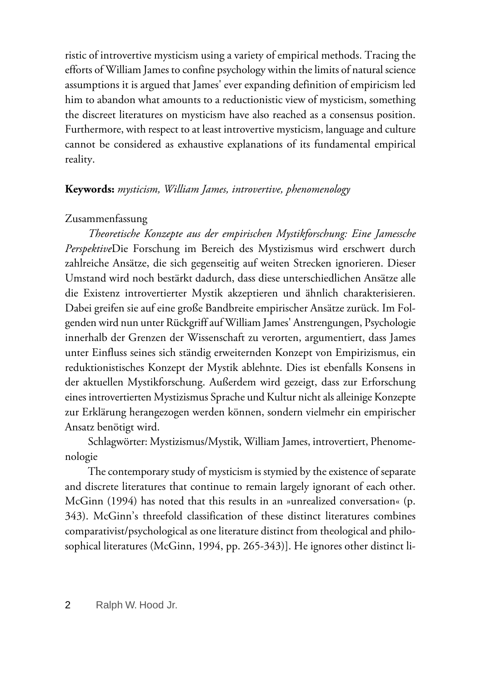ristic of introvertive mysticism using a variety of empirical methods. Tracing the efforts of William James to confine psychology within the limits of natural science assumptions it is argued that James' ever expanding definition of empiricism led him to abandon what amounts to a reductionistic view of mysticism, something the discreet literatures on mysticism have also reached as a consensus position. Furthermore, with respect to at least introvertive mysticism, language and culture cannot be considered as exhaustive explanations of its fundamental empirical reality.

#### **Keywords:** *mysticism, William James, introvertive, phenomenology*

#### Zusammenfassung

*Theoretische Konzepte aus der empirischen Mystikforschung: Eine Jamessche Perspektive*Die Forschung im Bereich des Mystizismus wird erschwert durch zahlreiche Ansätze, die sich gegenseitig auf weiten Strecken ignorieren. Dieser Umstand wird noch bestärkt dadurch, dass diese unterschiedlichen Ansätze alle die Existenz introvertierter Mystik akzeptieren und ähnlich charakterisieren. Dabei greifen sie auf eine große Bandbreite empirischer Ansätze zurück. Im Folgenden wird nun unter Rückgriff auf William James' Anstrengungen, Psychologie innerhalb der Grenzen der Wissenschaft zu verorten, argumentiert, dass James unter Einfluss seines sich ständig erweiternden Konzept von Empirizismus, ein reduktionistisches Konzept der Mystik ablehnte. Dies ist ebenfalls Konsens in der aktuellen Mystikforschung. Außerdem wird gezeigt, dass zur Erforschung eines introvertierten Mystizismus Sprache und Kultur nicht als alleinige Konzepte zur Erklärung herangezogen werden können, sondern vielmehr ein empirischer Ansatz benötigt wird.

Schlagwörter: Mystizismus/Mystik, William James, introvertiert, Phenomenologie

The contemporary study of mysticism is stymied by the existence of separate and discrete literatures that continue to remain largely ignorant of each other. McGinn (1994) has noted that this results in an »unrealized conversation« (p. 343). McGinn's threefold classification of these distinct literatures combines comparativist/psychological as one literature distinct from theological and philosophical literatures (McGinn, 1994, pp. 265-343)]. He ignores other distinct li-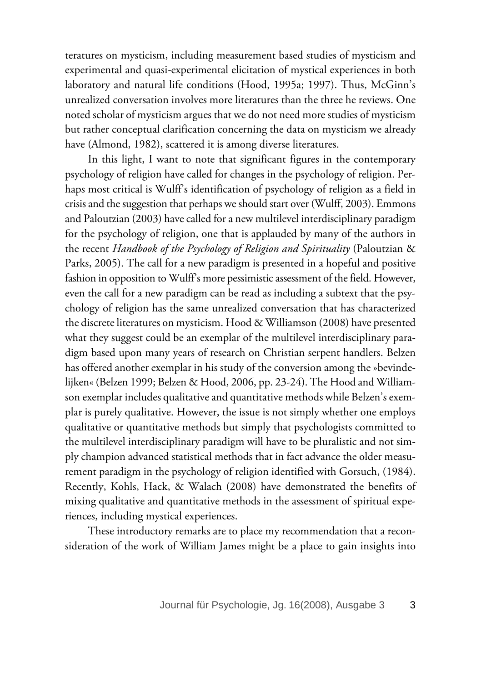teratures on mysticism, including measurement based studies of mysticism and experimental and quasi-experimental elicitation of mystical experiences in both laboratory and natural life conditions (Hood, 1995a; 1997). Thus, McGinn's unrealized conversation involves more literatures than the three he reviews. One noted scholar of mysticism argues that we do not need more studies of mysticism but rather conceptual clarification concerning the data on mysticism we already have (Almond, 1982), scattered it is among diverse literatures.

In this light, I want to note that significant figures in the contemporary psychology of religion have called for changes in the psychology of religion. Perhaps most critical is Wulff's identification of psychology of religion as a field in crisis and the suggestion that perhaps we should start over (Wulff, 2003). Emmons and Paloutzian (2003) have called for a new multilevel interdisciplinary paradigm for the psychology of religion, one that is applauded by many of the authors in the recent *Handbook of the Psychology of Religion and Spirituality* (Paloutzian & Parks, 2005). The call for a new paradigm is presented in a hopeful and positive fashion in opposition to Wulff's more pessimistic assessment of the field. However, even the call for a new paradigm can be read as including a subtext that the psychology of religion has the same unrealized conversation that has characterized the discrete literatures on mysticism. Hood & Williamson (2008) have presented what they suggest could be an exemplar of the multilevel interdisciplinary paradigm based upon many years of research on Christian serpent handlers. Belzen has offered another exemplar in his study of the conversion among the »bevindelijken« (Belzen 1999; Belzen & Hood, 2006, pp. 23-24). The Hood and Williamson exemplar includes qualitative and quantitative methods while Belzen's exemplar is purely qualitative. However, the issue is not simply whether one employs qualitative or quantitative methods but simply that psychologists committed to the multilevel interdisciplinary paradigm will have to be pluralistic and not simply champion advanced statistical methods that in fact advance the older measurement paradigm in the psychology of religion identified with Gorsuch, (1984). Recently, Kohls, Hack, & Walach (2008) have demonstrated the benefits of mixing qualitative and quantitative methods in the assessment of spiritual experiences, including mystical experiences.

These introductory remarks are to place my recommendation that a reconsideration of the work of William James might be a place to gain insights into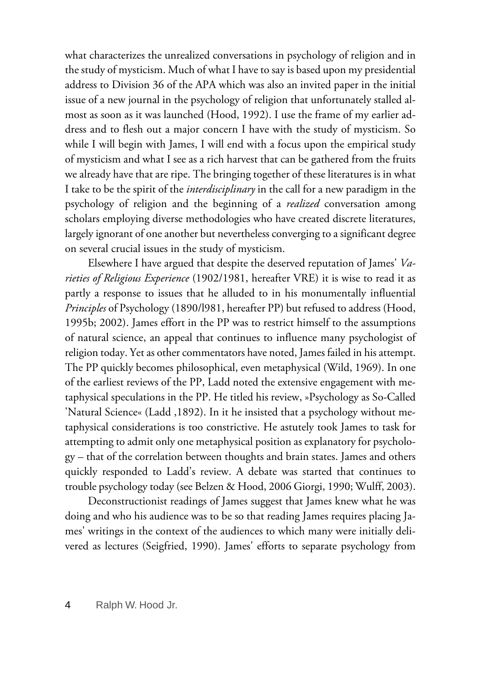what characterizes the unrealized conversations in psychology of religion and in the study of mysticism. Much of what I have to say is based upon my presidential address to Division 36 of the APA which was also an invited paper in the initial issue of a new journal in the psychology of religion that unfortunately stalled almost as soon as it was launched (Hood, 1992). I use the frame of my earlier address and to flesh out a major concern I have with the study of mysticism. So while I will begin with James, I will end with a focus upon the empirical study of mysticism and what I see as a rich harvest that can be gathered from the fruits we already have that are ripe. The bringing together of these literatures is in what I take to be the spirit of the *interdisciplinary* in the call for a new paradigm in the psychology of religion and the beginning of a *realized* conversation among scholars employing diverse methodologies who have created discrete literatures, largely ignorant of one another but nevertheless converging to a significant degree on several crucial issues in the study of mysticism.

Elsewhere I have argued that despite the deserved reputation of James' *Varieties of Religious Experience* (1902/1981, hereafter VRE) it is wise to read it as partly a response to issues that he alluded to in his monumentally influential *Principles* of Psychology (1890/l981, hereafter PP) but refused to address (Hood, 1995b; 2002). James effort in the PP was to restrict himself to the assumptions of natural science, an appeal that continues to influence many psychologist of religion today. Yet as other commentators have noted, James failed in his attempt. The PP quickly becomes philosophical, even metaphysical (Wild, 1969). In one of the earliest reviews of the PP, Ladd noted the extensive engagement with metaphysical speculations in the PP. He titled his review, »Psychology as So-Called 'Natural Science« (Ladd ,1892). In it he insisted that a psychology without metaphysical considerations is too constrictive. He astutely took James to task for attempting to admit only one metaphysical position as explanatory for psychology – that of the correlation between thoughts and brain states. James and others quickly responded to Ladd's review. A debate was started that continues to trouble psychology today (see Belzen & Hood, 2006 Giorgi, 1990; Wulff, 2003).

Deconstructionist readings of James suggest that James knew what he was doing and who his audience was to be so that reading James requires placing James' writings in the context of the audiences to which many were initially delivered as lectures (Seigfried, 1990). James' efforts to separate psychology from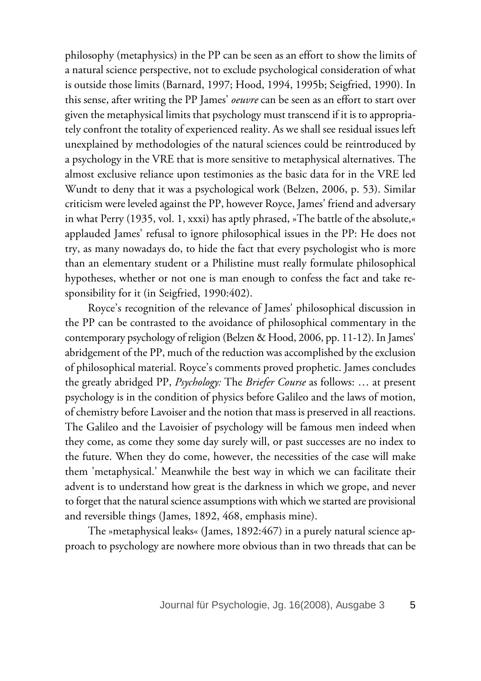philosophy (metaphysics) in the PP can be seen as an effort to show the limits of a natural science perspective, not to exclude psychological consideration of what is outside those limits (Barnard, 1997; Hood, 1994, 1995b; Seigfried, 1990). In this sense, after writing the PP James' *oeuvre* can be seen as an effort to start over given the metaphysical limits that psychology must transcend if it is to appropriately confront the totality of experienced reality. As we shall see residual issues left unexplained by methodologies of the natural sciences could be reintroduced by a psychology in the VRE that is more sensitive to metaphysical alternatives. The almost exclusive reliance upon testimonies as the basic data for in the VRE led Wundt to deny that it was a psychological work (Belzen, 2006, p. 53). Similar criticism were leveled against the PP, however Royce, James' friend and adversary in what Perry (1935, vol. 1, xxxi) has aptly phrased, »The battle of the absolute,« applauded James' refusal to ignore philosophical issues in the PP: He does not try, as many nowadays do, to hide the fact that every psychologist who is more than an elementary student or a Philistine must really formulate philosophical hypotheses, whether or not one is man enough to confess the fact and take responsibility for it (in Seigfried, 1990:402).

Royce's recognition of the relevance of James' philosophical discussion in the PP can be contrasted to the avoidance of philosophical commentary in the contemporary psychology of religion (Belzen & Hood, 2006, pp. 11-12). In James' abridgement of the PP, much of the reduction was accomplished by the exclusion of philosophical material. Royce's comments proved prophetic. James concludes the greatly abridged PP, *Psychology:* The *Briefer Course* as follows: … at present psychology is in the condition of physics before Galileo and the laws of motion, of chemistry before Lavoiser and the notion that mass is preserved in all reactions. The Galileo and the Lavoisier of psychology will be famous men indeed when they come, as come they some day surely will, or past successes are no index to the future. When they do come, however, the necessities of the case will make them 'metaphysical.' Meanwhile the best way in which we can facilitate their advent is to understand how great is the darkness in which we grope, and never to forget that the natural science assumptions with which we started are provisional and reversible things (James, 1892, 468, emphasis mine).

The »metaphysical leaks« (James, 1892:467) in a purely natural science approach to psychology are nowhere more obvious than in two threads that can be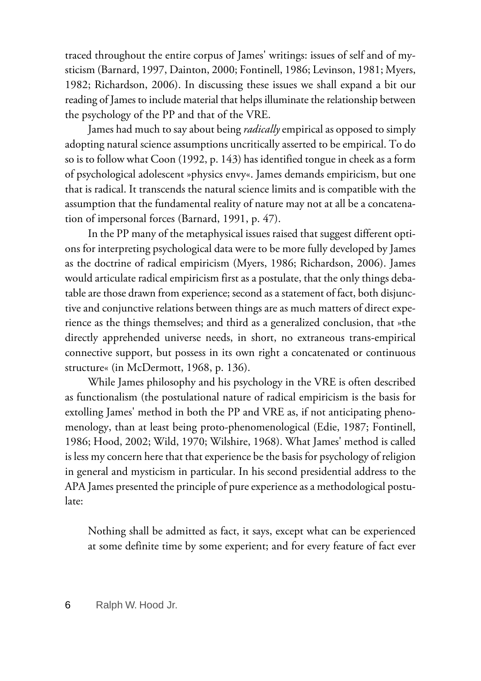traced throughout the entire corpus of James' writings: issues of self and of mysticism (Barnard, 1997, Dainton, 2000; Fontinell, 1986; Levinson, 1981; Myers, 1982; Richardson, 2006). In discussing these issues we shall expand a bit our reading of James to include material that helps illuminate the relationship between the psychology of the PP and that of the VRE.

James had much to say about being *radically* empirical as opposed to simply adopting natural science assumptions uncritically asserted to be empirical. To do so is to follow what Coon (1992, p. 143) has identified tongue in cheek as a form of psychological adolescent »physics envy«. James demands empiricism, but one that is radical. It transcends the natural science limits and is compatible with the assumption that the fundamental reality of nature may not at all be a concatenation of impersonal forces (Barnard, 1991, p. 47).

In the PP many of the metaphysical issues raised that suggest different options for interpreting psychological data were to be more fully developed by James as the doctrine of radical empiricism (Myers, 1986; Richardson, 2006). James would articulate radical empiricism first as a postulate, that the only things debatable are those drawn from experience; second as a statement of fact, both disjunctive and conjunctive relations between things are as much matters of direct experience as the things themselves; and third as a generalized conclusion, that »the directly apprehended universe needs, in short, no extraneous trans-empirical connective support, but possess in its own right a concatenated or continuous structure« (in McDermott, 1968, p. 136).

While James philosophy and his psychology in the VRE is often described as functionalism (the postulational nature of radical empiricism is the basis for extolling James' method in both the PP and VRE as, if not anticipating phenomenology, than at least being proto-phenomenological (Edie, 1987; Fontinell, 1986; Hood, 2002; Wild, 1970; Wilshire, 1968). What James' method is called is less my concern here that that experience be the basis for psychology of religion in general and mysticism in particular. In his second presidential address to the APA James presented the principle of pure experience as a methodological postulate:

Nothing shall be admitted as fact, it says, except what can be experienced at some definite time by some experient; and for every feature of fact ever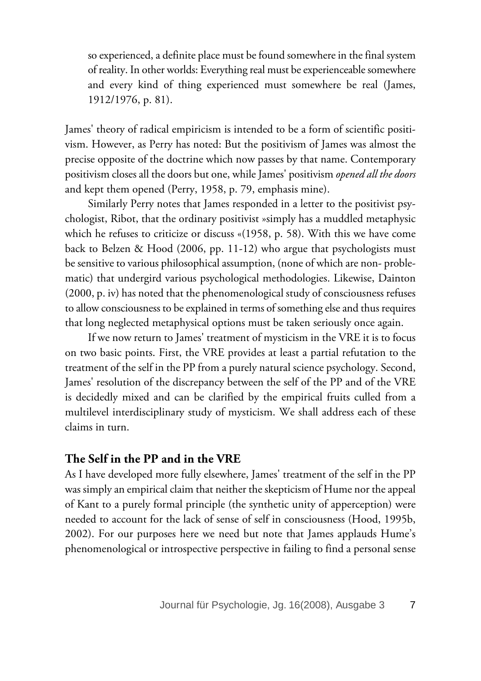so experienced, a definite place must be found somewhere in the final system of reality. In other worlds: Everything real must be experienceable somewhere and every kind of thing experienced must somewhere be real (James, 1912/1976, p. 81).

James' theory of radical empiricism is intended to be a form of scientific positivism. However, as Perry has noted: But the positivism of James was almost the precise opposite of the doctrine which now passes by that name. Contemporary positivism closes all the doors but one, while James' positivism *opened all the doors* and kept them opened (Perry, 1958, p. 79, emphasis mine).

Similarly Perry notes that James responded in a letter to the positivist psychologist, Ribot, that the ordinary positivist »simply has a muddled metaphysic which he refuses to criticize or discuss «(1958, p. 58). With this we have come back to Belzen & Hood (2006, pp. 11-12) who argue that psychologists must be sensitive to various philosophical assumption, (none of which are non- problematic) that undergird various psychological methodologies. Likewise, Dainton (2000, p. iv) has noted that the phenomenological study of consciousness refuses to allow consciousness to be explained in terms of something else and thus requires that long neglected metaphysical options must be taken seriously once again.

If we now return to James' treatment of mysticism in the VRE it is to focus on two basic points. First, the VRE provides at least a partial refutation to the treatment of the self in the PP from a purely natural science psychology. Second, James' resolution of the discrepancy between the self of the PP and of the VRE is decidedly mixed and can be clarified by the empirical fruits culled from a multilevel interdisciplinary study of mysticism. We shall address each of these claims in turn.

## **The Self in the PP and in the VRE**

As I have developed more fully elsewhere, James' treatment of the self in the PP was simply an empirical claim that neither the skepticism of Hume nor the appeal of Kant to a purely formal principle (the synthetic unity of apperception) were needed to account for the lack of sense of self in consciousness (Hood, 1995b, 2002). For our purposes here we need but note that James applauds Hume's phenomenological or introspective perspective in failing to find a personal sense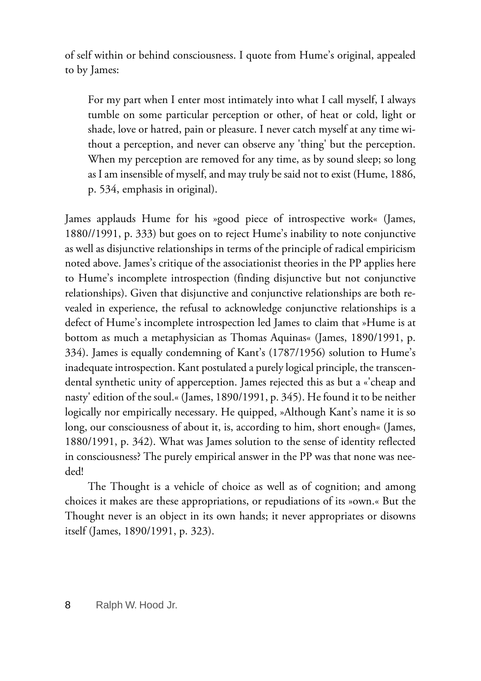of self within or behind consciousness. I quote from Hume's original, appealed to by James:

For my part when I enter most intimately into what I call myself, I always tumble on some particular perception or other, of heat or cold, light or shade, love or hatred, pain or pleasure. I never catch myself at any time without a perception, and never can observe any 'thing' but the perception. When my perception are removed for any time, as by sound sleep; so long as I am insensible of myself, and may truly be said not to exist (Hume, 1886, p. 534, emphasis in original).

James applauds Hume for his »good piece of introspective work« (James, 1880//1991, p. 333) but goes on to reject Hume's inability to note conjunctive as well as disjunctive relationships in terms of the principle of radical empiricism noted above. James's critique of the associationist theories in the PP applies here to Hume's incomplete introspection (finding disjunctive but not conjunctive relationships). Given that disjunctive and conjunctive relationships are both revealed in experience, the refusal to acknowledge conjunctive relationships is a defect of Hume's incomplete introspection led James to claim that »Hume is at bottom as much a metaphysician as Thomas Aquinas« (James, 1890/1991, p. 334). James is equally condemning of Kant's (1787/1956) solution to Hume's inadequate introspection. Kant postulated a purely logical principle, the transcendental synthetic unity of apperception. James rejected this as but a «'cheap and nasty' edition of the soul.« (James, 1890/1991, p. 345). He found it to be neither logically nor empirically necessary. He quipped, »Although Kant's name it is so long, our consciousness of about it, is, according to him, short enough« (James, 1880/1991, p. 342). What was James solution to the sense of identity reflected in consciousness? The purely empirical answer in the PP was that none was needed!

The Thought is a vehicle of choice as well as of cognition; and among choices it makes are these appropriations, or repudiations of its »own.« But the Thought never is an object in its own hands; it never appropriates or disowns itself (James, 1890/1991, p. 323).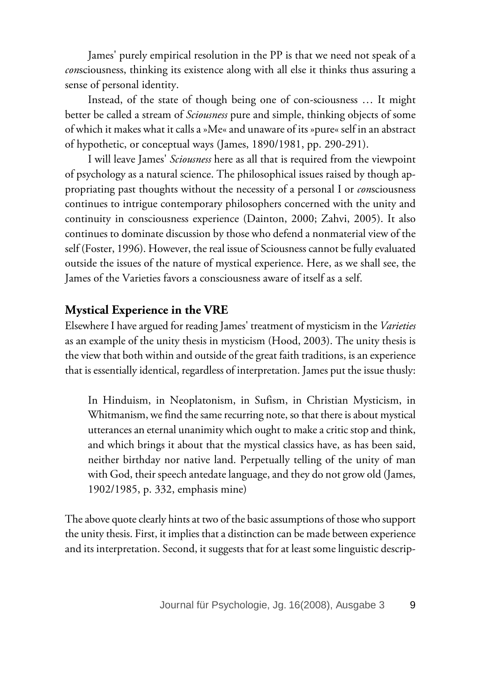James' purely empirical resolution in the PP is that we need not speak of a *con*sciousness, thinking its existence along with all else it thinks thus assuring a sense of personal identity.

Instead, of the state of though being one of con-sciousness … It might better be called a stream of *Sciousness* pure and simple, thinking objects of some of which it makes what it calls a »Me« and unaware of its »pure« self in an abstract of hypothetic, or conceptual ways (James, 1890/1981, pp. 290-291).

I will leave James' *Sciousness* here as all that is required from the viewpoint of psychology as a natural science. The philosophical issues raised by though appropriating past thoughts without the necessity of a personal I or *con*sciousness continues to intrigue contemporary philosophers concerned with the unity and continuity in consciousness experience (Dainton, 2000; Zahvi, 2005). It also continues to dominate discussion by those who defend a nonmaterial view of the self (Foster, 1996). However, the real issue of Sciousness cannot be fully evaluated outside the issues of the nature of mystical experience. Here, as we shall see, the James of the Varieties favors a consciousness aware of itself as a self.

# **Mystical Experience in the VRE**

Elsewhere I have argued for reading James' treatment of mysticism in the *Varieties* as an example of the unity thesis in mysticism (Hood, 2003). The unity thesis is the view that both within and outside of the great faith traditions, is an experience that is essentially identical, regardless of interpretation. James put the issue thusly:

In Hinduism, in Neoplatonism, in Sufism, in Christian Mysticism, in Whitmanism, we find the same recurring note, so that there is about mystical utterances an eternal unanimity which ought to make a critic stop and think, and which brings it about that the mystical classics have, as has been said, neither birthday nor native land. Perpetually telling of the unity of man with God, their speech antedate language, and they do not grow old (James, 1902/1985, p. 332, emphasis mine)

The above quote clearly hints at two of the basic assumptions of those who support the unity thesis. First, it implies that a distinction can be made between experience and its interpretation. Second, it suggests that for at least some linguistic descrip-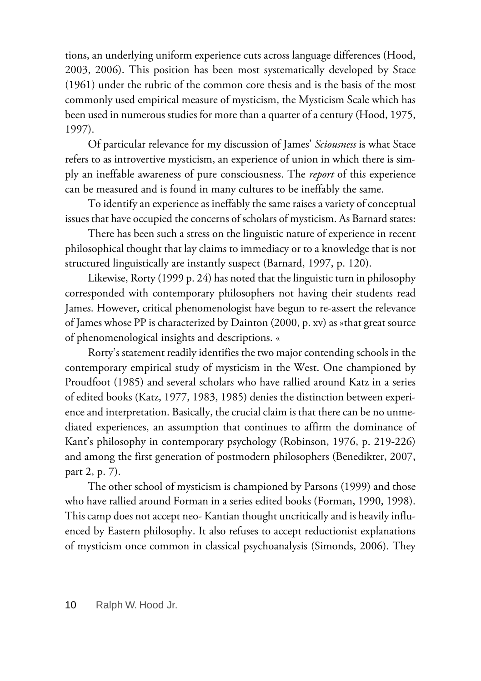tions, an underlying uniform experience cuts across language differences (Hood, 2003, 2006). This position has been most systematically developed by Stace (1961) under the rubric of the common core thesis and is the basis of the most commonly used empirical measure of mysticism, the Mysticism Scale which has been used in numerous studies for more than a quarter of a century (Hood, 1975, 1997).

Of particular relevance for my discussion of James' *Sciousness* is what Stace refers to as introvertive mysticism, an experience of union in which there is simply an ineffable awareness of pure consciousness. The *report* of this experience can be measured and is found in many cultures to be ineffably the same.

To identify an experience as ineffably the same raises a variety of conceptual issues that have occupied the concerns of scholars of mysticism. As Barnard states:

There has been such a stress on the linguistic nature of experience in recent philosophical thought that lay claims to immediacy or to a knowledge that is not structured linguistically are instantly suspect (Barnard, 1997, p. 120).

Likewise, Rorty (1999 p. 24) has noted that the linguistic turn in philosophy corresponded with contemporary philosophers not having their students read James. However, critical phenomenologist have begun to re-assert the relevance of James whose PP is characterized by Dainton (2000, p. xv) as »that great source of phenomenological insights and descriptions. «

Rorty's statement readily identifies the two major contending schools in the contemporary empirical study of mysticism in the West. One championed by Proudfoot (1985) and several scholars who have rallied around Katz in a series of edited books (Katz, 1977, 1983, 1985) denies the distinction between experience and interpretation. Basically, the crucial claim is that there can be no unmediated experiences, an assumption that continues to affirm the dominance of Kant's philosophy in contemporary psychology (Robinson, 1976, p. 219-226) and among the first generation of postmodern philosophers (Benedikter, 2007, part 2, p. 7).

The other school of mysticism is championed by Parsons (1999) and those who have rallied around Forman in a series edited books (Forman, 1990, 1998). This camp does not accept neo- Kantian thought uncritically and is heavily influenced by Eastern philosophy. It also refuses to accept reductionist explanations of mysticism once common in classical psychoanalysis (Simonds, 2006). They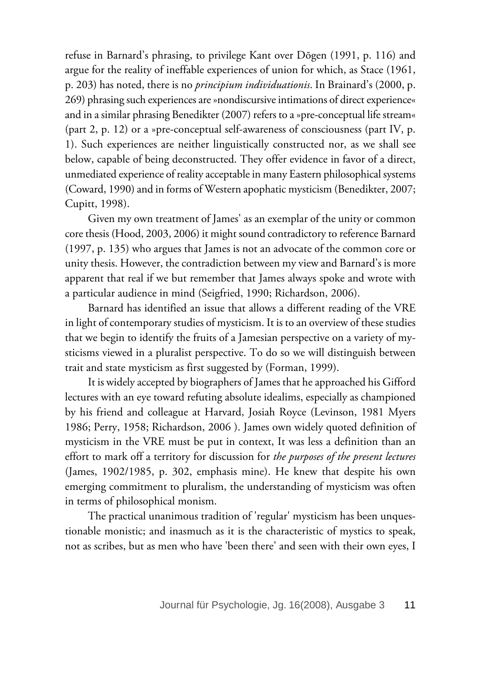refuse in Barnard's phrasing, to privilege Kant over Dōgen (1991, p. 116) and argue for the reality of ineffable experiences of union for which, as Stace (1961, p. 203) has noted, there is no *principium individuationis*. In Brainard's (2000, p. 269) phrasing such experiences are »nondiscursive intimations of direct experience« and in a similar phrasing Benedikter (2007) refers to a »pre-conceptual life stream« (part 2, p. 12) or a »pre-conceptual self-awareness of consciousness (part IV, p. 1). Such experiences are neither linguistically constructed nor, as we shall see below, capable of being deconstructed. They offer evidence in favor of a direct, unmediated experience of reality acceptable in many Eastern philosophical systems (Coward, 1990) and in forms of Western apophatic mysticism (Benedikter, 2007; Cupitt, 1998).

Given my own treatment of James' as an exemplar of the unity or common core thesis (Hood, 2003, 2006) it might sound contradictory to reference Barnard (1997, p. 135) who argues that James is not an advocate of the common core or unity thesis. However, the contradiction between my view and Barnard's is more apparent that real if we but remember that James always spoke and wrote with a particular audience in mind (Seigfried, 1990; Richardson, 2006).

Barnard has identified an issue that allows a different reading of the VRE in light of contemporary studies of mysticism. It is to an overview of these studies that we begin to identify the fruits of a Jamesian perspective on a variety of mysticisms viewed in a pluralist perspective. To do so we will distinguish between trait and state mysticism as first suggested by (Forman, 1999).

It is widely accepted by biographers of James that he approached his Gifford lectures with an eye toward refuting absolute idealims, especially as championed by his friend and colleague at Harvard, Josiah Royce (Levinson, 1981 Myers 1986; Perry, 1958; Richardson, 2006 ). James own widely quoted definition of mysticism in the VRE must be put in context, It was less a definition than an effort to mark off a territory for discussion for *the purposes of the present lectures* (James, 1902/1985, p. 302, emphasis mine). He knew that despite his own emerging commitment to pluralism, the understanding of mysticism was often in terms of philosophical monism.

The practical unanimous tradition of 'regular' mysticism has been unquestionable monistic; and inasmuch as it is the characteristic of mystics to speak, not as scribes, but as men who have 'been there' and seen with their own eyes, I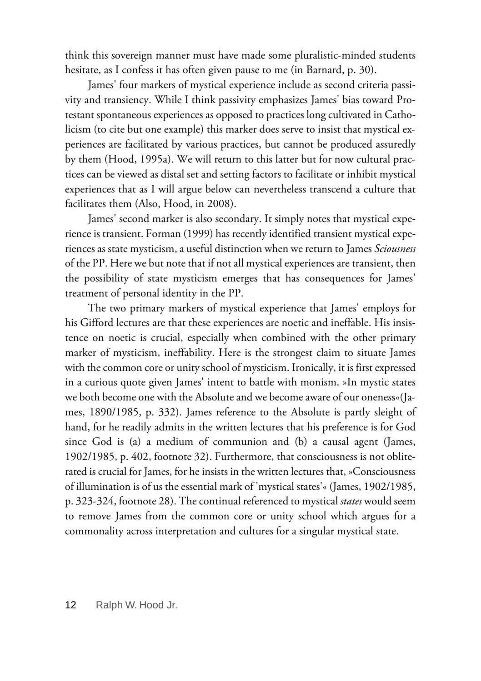think this sovereign manner must have made some pluralistic-minded students hesitate, as I confess it has often given pause to me (in Barnard, p. 30).

James' four markers of mystical experience include as second criteria passivity and transiency. While I think passivity emphasizes James' bias toward Protestant spontaneous experiences as opposed to practices long cultivated in Catholicism (to cite but one example) this marker does serve to insist that mystical experiences are facilitated by various practices, but cannot be produced assuredly by them (Hood, 1995a). We will return to this latter but for now cultural practices can be viewed as distal set and setting factors to facilitate or inhibit mystical experiences that as I will argue below can nevertheless transcend a culture that facilitates them (Also, Hood, in 2008).

James' second marker is also secondary. It simply notes that mystical experience is transient. Forman (1999) has recently identified transient mystical experiences as state mysticism, a useful distinction when we return to James *Sciousness* of the PP. Here we but note that if not all mystical experiences are transient, then the possibility of state mysticism emerges that has consequences for James' treatment of personal identity in the PP.

The two primary markers of mystical experience that James' employs for his Gifford lectures are that these experiences are noetic and ineffable. His insistence on noetic is crucial, especially when combined with the other primary marker of mysticism, ineffability. Here is the strongest claim to situate James with the common core or unity school of mysticism. Ironically, it is first expressed in a curious quote given James' intent to battle with monism. »In mystic states we both become one with the Absolute and we become aware of our oneness«(James, 1890/1985, p. 332). James reference to the Absolute is partly sleight of hand, for he readily admits in the written lectures that his preference is for God since God is (a) a medium of communion and (b) a causal agent (James, 1902/1985, p. 402, footnote 32). Furthermore, that consciousness is not obliterated is crucial for James, for he insists in the written lectures that, »Consciousness of illumination is of us the essential mark of 'mystical states'« (James, 1902/1985, p. 323-324, footnote 28). The continual referenced to mystical *states* would seem to remove James from the common core or unity school which argues for a commonality across interpretation and cultures for a singular mystical state.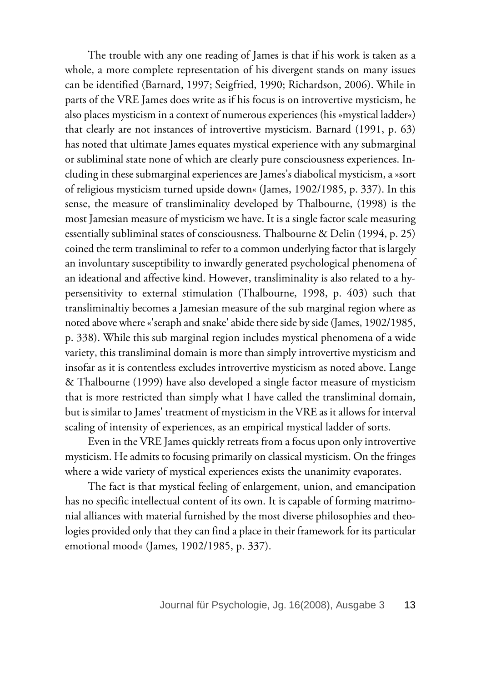The trouble with any one reading of James is that if his work is taken as a whole, a more complete representation of his divergent stands on many issues can be identified (Barnard, 1997; Seigfried, 1990; Richardson, 2006). While in parts of the VRE James does write as if his focus is on introvertive mysticism, he also places mysticism in a context of numerous experiences (his »mystical ladder«) that clearly are not instances of introvertive mysticism. Barnard (1991, p. 63) has noted that ultimate James equates mystical experience with any submarginal or subliminal state none of which are clearly pure consciousness experiences. Including in these submarginal experiences are James's diabolical mysticism, a »sort of religious mysticism turned upside down« (James, 1902/1985, p. 337). In this sense, the measure of transliminality developed by Thalbourne, (1998) is the most Jamesian measure of mysticism we have. It is a single factor scale measuring essentially subliminal states of consciousness. Thalbourne & Delin (1994, p. 25) coined the term transliminal to refer to a common underlying factor that is largely an involuntary susceptibility to inwardly generated psychological phenomena of an ideational and affective kind. However, transliminality is also related to a hypersensitivity to external stimulation (Thalbourne, 1998, p. 403) such that transliminaltiy becomes a Jamesian measure of the sub marginal region where as noted above where «'seraph and snake' abide there side by side (James, 1902/1985, p. 338). While this sub marginal region includes mystical phenomena of a wide variety, this transliminal domain is more than simply introvertive mysticism and insofar as it is contentless excludes introvertive mysticism as noted above. Lange & Thalbourne (1999) have also developed a single factor measure of mysticism that is more restricted than simply what I have called the transliminal domain, but is similar to James' treatment of mysticism in the VRE as it allows for interval scaling of intensity of experiences, as an empirical mystical ladder of sorts.

Even in the VRE James quickly retreats from a focus upon only introvertive mysticism. He admits to focusing primarily on classical mysticism. On the fringes where a wide variety of mystical experiences exists the unanimity evaporates.

The fact is that mystical feeling of enlargement, union, and emancipation has no specific intellectual content of its own. It is capable of forming matrimonial alliances with material furnished by the most diverse philosophies and theologies provided only that they can find a place in their framework for its particular emotional mood« (James, 1902/1985, p. 337).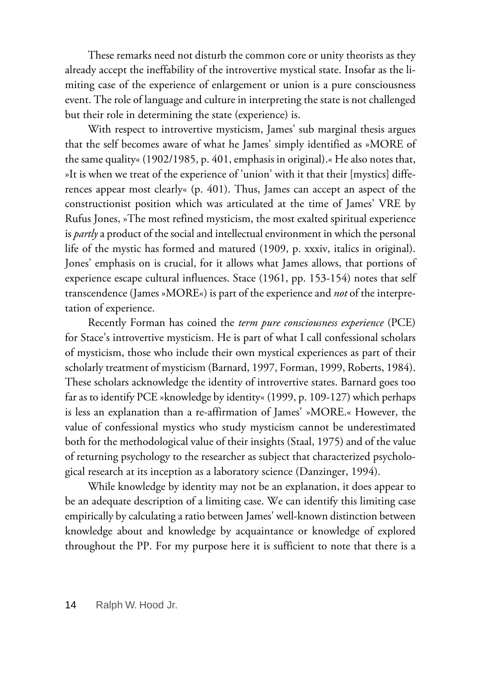These remarks need not disturb the common core or unity theorists as they already accept the ineffability of the introvertive mystical state. Insofar as the limiting case of the experience of enlargement or union is a pure consciousness event. The role of language and culture in interpreting the state is not challenged but their role in determining the state (experience) is.

With respect to introvertive mysticism, James' sub marginal thesis argues that the self becomes aware of what he James' simply identified as »MORE of the same quality« (1902/1985, p. 401, emphasis in original).« He also notes that, »It is when we treat of the experience of 'union' with it that their [mystics] differences appear most clearly« (p. 401). Thus, James can accept an aspect of the constructionist position which was articulated at the time of James' VRE by Rufus Jones, »The most refined mysticism, the most exalted spiritual experience is *partly* a product of the social and intellectual environment in which the personal life of the mystic has formed and matured (1909, p. xxxiv, italics in original). Jones' emphasis on is crucial, for it allows what James allows, that portions of experience escape cultural influences. Stace (1961, pp. 153-154) notes that self transcendence (James »MORE«) is part of the experience and *not* of the interpretation of experience.

Recently Forman has coined the *term pure consciousness experience* (PCE) for Stace's introvertive mysticism. He is part of what I call confessional scholars of mysticism, those who include their own mystical experiences as part of their scholarly treatment of mysticism (Barnard, 1997, Forman, 1999, Roberts, 1984). These scholars acknowledge the identity of introvertive states. Barnard goes too far as to identify PCE »knowledge by identity« (1999, p. 109-127) which perhaps is less an explanation than a re-affirmation of James' »MORE.« However, the value of confessional mystics who study mysticism cannot be underestimated both for the methodological value of their insights (Staal, 1975) and of the value of returning psychology to the researcher as subject that characterized psychological research at its inception as a laboratory science (Danzinger, 1994).

While knowledge by identity may not be an explanation, it does appear to be an adequate description of a limiting case. We can identify this limiting case empirically by calculating a ratio between James' well-known distinction between knowledge about and knowledge by acquaintance or knowledge of explored throughout the PP. For my purpose here it is sufficient to note that there is a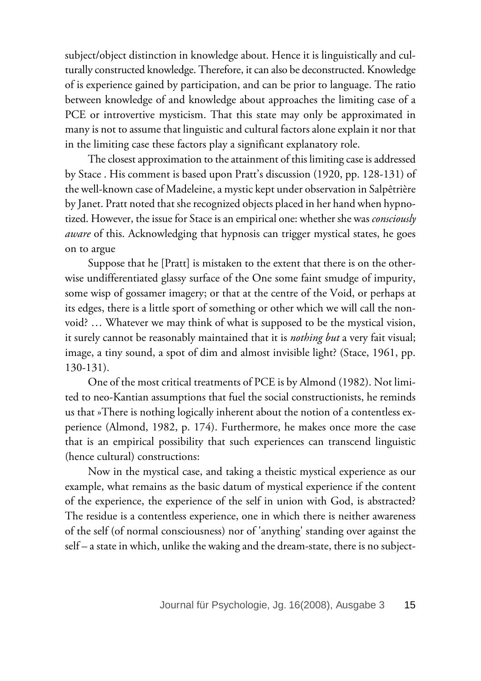subject/object distinction in knowledge about. Hence it is linguistically and culturally constructed knowledge. Therefore, it can also be deconstructed. Knowledge of is experience gained by participation, and can be prior to language. The ratio between knowledge of and knowledge about approaches the limiting case of a PCE or introvertive mysticism. That this state may only be approximated in many is not to assume that linguistic and cultural factors alone explain it nor that in the limiting case these factors play a significant explanatory role.

The closest approximation to the attainment of this limiting case is addressed by Stace . His comment is based upon Pratt's discussion (1920, pp. 128-131) of the well-known case of Madeleine, a mystic kept under observation in Salpêtrière by Janet. Pratt noted that she recognized objects placed in her hand when hypnotized. However, the issue for Stace is an empirical one: whether she was *consciously aware* of this. Acknowledging that hypnosis can trigger mystical states, he goes on to argue

Suppose that he [Pratt] is mistaken to the extent that there is on the otherwise undifferentiated glassy surface of the One some faint smudge of impurity, some wisp of gossamer imagery; or that at the centre of the Void, or perhaps at its edges, there is a little sport of something or other which we will call the nonvoid? … Whatever we may think of what is supposed to be the mystical vision, it surely cannot be reasonably maintained that it is *nothing but* a very fait visual; image, a tiny sound, a spot of dim and almost invisible light? (Stace, 1961, pp. 130-131).

One of the most critical treatments of PCE is by Almond (1982). Not limited to neo-Kantian assumptions that fuel the social constructionists, he reminds us that »There is nothing logically inherent about the notion of a contentless experience (Almond, 1982, p. 174). Furthermore, he makes once more the case that is an empirical possibility that such experiences can transcend linguistic (hence cultural) constructions:

Now in the mystical case, and taking a theistic mystical experience as our example, what remains as the basic datum of mystical experience if the content of the experience, the experience of the self in union with God, is abstracted? The residue is a contentless experience, one in which there is neither awareness of the self (of normal consciousness) nor of 'anything' standing over against the self – a state in which, unlike the waking and the dream-state, there is no subject-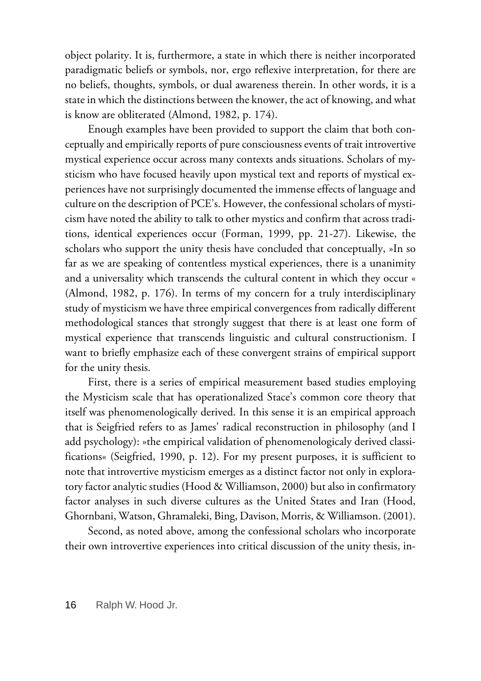object polarity. It is, furthermore, a state in which there is neither incorporated paradigmatic beliefs or symbols, nor, ergo reflexive interpretation, for there are no beliefs, thoughts, symbols, or dual awareness therein. In other words, it is a state in which the distinctions between the knower, the act of knowing, and what is know are obliterated (Almond, 1982, p. 174).

Enough examples have been provided to support the claim that both conceptually and empirically reports of pure consciousness events of trait introvertive mystical experience occur across many contexts ands situations. Scholars of mysticism who have focused heavily upon mystical text and reports of mystical experiences have not surprisingly documented the immense effects of language and culture on the description of PCE's. However, the confessional scholars of mysticism have noted the ability to talk to other mystics and confirm that across traditions, identical experiences occur (Forman, 1999, pp. 21-27). Likewise, the scholars who support the unity thesis have concluded that conceptually, »In so far as we are speaking of contentless mystical experiences, there is a unanimity and a universality which transcends the cultural content in which they occur « (Almond, 1982, p. 176). In terms of my concern for a truly interdisciplinary study of mysticism we have three empirical convergences from radically different methodological stances that strongly suggest that there is at least one form of mystical experience that transcends linguistic and cultural constructionism. I want to briefly emphasize each of these convergent strains of empirical support for the unity thesis.

First, there is a series of empirical measurement based studies employing the Mysticism scale that has operationalized Stace's common core theory that itself was phenomenologically derived. In this sense it is an empirical approach that is Seigfried refers to as James' radical reconstruction in philosophy (and I add psychology): »the empirical validation of phenomenologicaly derived classifications« (Seigfried, 1990, p. 12). For my present purposes, it is sufficient to note that introvertive mysticism emerges as a distinct factor not only in exploratory factor analytic studies (Hood & Williamson, 2000) but also in confirmatory factor analyses in such diverse cultures as the United States and Iran (Hood, Ghornbani, Watson, Ghramaleki, Bing, Davison, Morris, & Williamson. (2001).

Second, as noted above, among the confessional scholars who incorporate their own introvertive experiences into critical discussion of the unity thesis, in-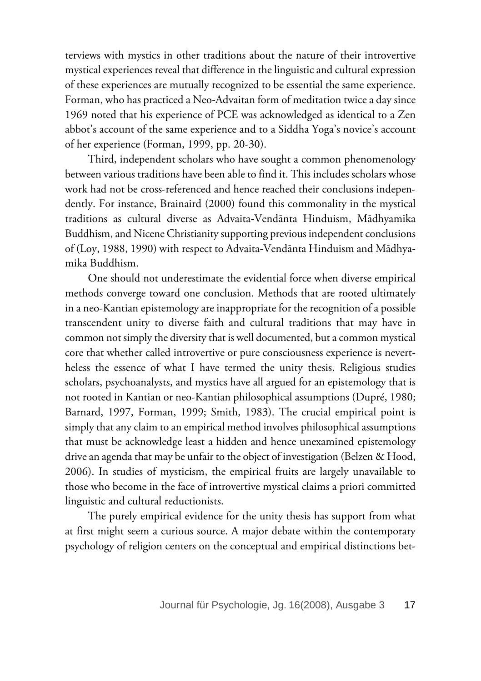terviews with mystics in other traditions about the nature of their introvertive mystical experiences reveal that difference in the linguistic and cultural expression of these experiences are mutually recognized to be essential the same experience. Forman, who has practiced a Neo-Advaitan form of meditation twice a day since 1969 noted that his experience of PCE was acknowledged as identical to a Zen abbot's account of the same experience and to a Siddha Yoga's novice's account of her experience (Forman, 1999, pp. 20-30).

Third, independent scholars who have sought a common phenomenology between various traditions have been able to find it. This includes scholars whose work had not be cross-referenced and hence reached their conclusions independently. For instance, Brainaird (2000) found this commonality in the mystical traditions as cultural diverse as Advaita-Vendānta Hinduism, Mādhyamika Buddhism, and Nicene Christianity supporting previous independent conclusions of (Loy, 1988, 1990) with respect to Advaita-Vendānta Hinduism and Mādhyamika Buddhism.

One should not underestimate the evidential force when diverse empirical methods converge toward one conclusion. Methods that are rooted ultimately in a neo-Kantian epistemology are inappropriate for the recognition of a possible transcendent unity to diverse faith and cultural traditions that may have in common not simply the diversity that is well documented, but a common mystical core that whether called introvertive or pure consciousness experience is nevertheless the essence of what I have termed the unity thesis. Religious studies scholars, psychoanalysts, and mystics have all argued for an epistemology that is not rooted in Kantian or neo-Kantian philosophical assumptions (Dupré, 1980; Barnard, 1997, Forman, 1999; Smith, 1983). The crucial empirical point is simply that any claim to an empirical method involves philosophical assumptions that must be acknowledge least a hidden and hence unexamined epistemology drive an agenda that may be unfair to the object of investigation (Belzen & Hood, 2006). In studies of mysticism, the empirical fruits are largely unavailable to those who become in the face of introvertive mystical claims a priori committed linguistic and cultural reductionists.

The purely empirical evidence for the unity thesis has support from what at first might seem a curious source. A major debate within the contemporary psychology of religion centers on the conceptual and empirical distinctions bet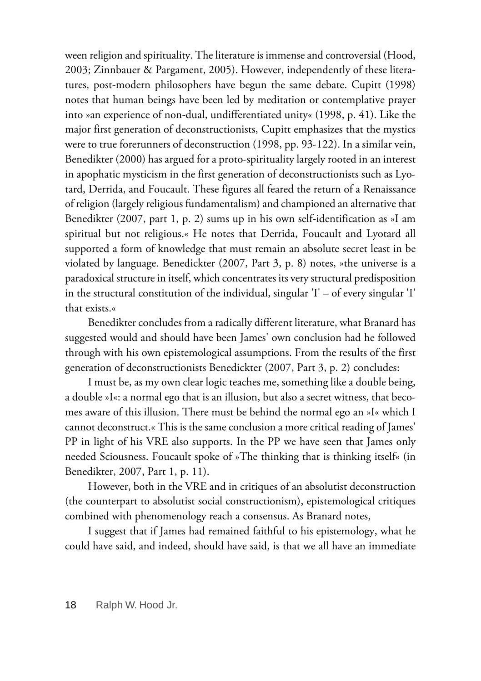ween religion and spirituality. The literature is immense and controversial (Hood, 2003; Zinnbauer & Pargament, 2005). However, independently of these literatures, post-modern philosophers have begun the same debate. Cupitt (1998) notes that human beings have been led by meditation or contemplative prayer into »an experience of non-dual, undifferentiated unity« (1998, p. 41). Like the major first generation of deconstructionists, Cupitt emphasizes that the mystics were to true forerunners of deconstruction (1998, pp. 93-122). In a similar vein, Benedikter (2000) has argued for a proto-spirituality largely rooted in an interest in apophatic mysticism in the first generation of deconstructionists such as Lyotard, Derrida, and Foucault. These figures all feared the return of a Renaissance of religion (largely religious fundamentalism) and championed an alternative that Benedikter (2007, part 1, p. 2) sums up in his own self-identification as »I am spiritual but not religious.« He notes that Derrida, Foucault and Lyotard all supported a form of knowledge that must remain an absolute secret least in be violated by language. Benedickter (2007, Part 3, p. 8) notes, »the universe is a paradoxical structure in itself, which concentrates its very structural predisposition in the structural constitution of the individual, singular 'I' – of every singular 'I' that exists.«

Benedikter concludes from a radically different literature, what Branard has suggested would and should have been James' own conclusion had he followed through with his own epistemological assumptions. From the results of the first generation of deconstructionists Benedickter (2007, Part 3, p. 2) concludes:

I must be, as my own clear logic teaches me, something like a double being, a double »I«: a normal ego that is an illusion, but also a secret witness, that becomes aware of this illusion. There must be behind the normal ego an »I« which I cannot deconstruct.« This is the same conclusion a more critical reading of James' PP in light of his VRE also supports. In the PP we have seen that James only needed Sciousness. Foucault spoke of »The thinking that is thinking itself« (in Benedikter, 2007, Part 1, p. 11).

However, both in the VRE and in critiques of an absolutist deconstruction (the counterpart to absolutist social constructionism), epistemological critiques combined with phenomenology reach a consensus. As Branard notes,

I suggest that if James had remained faithful to his epistemology, what he could have said, and indeed, should have said, is that we all have an immediate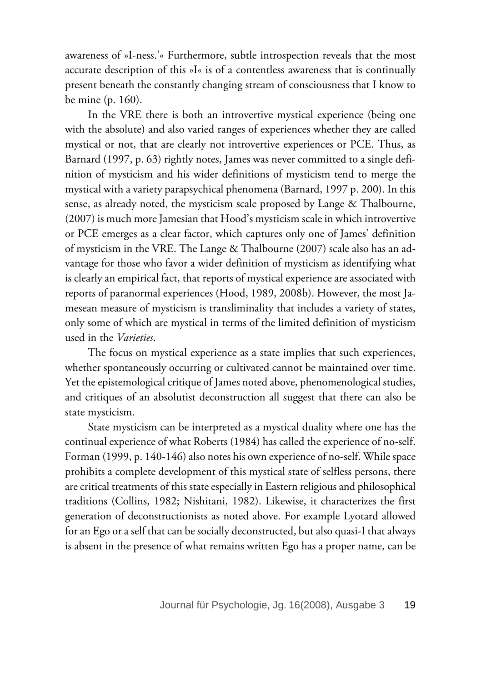awareness of »I-ness.'« Furthermore, subtle introspection reveals that the most accurate description of this »I« is of a contentless awareness that is continually present beneath the constantly changing stream of consciousness that I know to be mine (p. 160).

In the VRE there is both an introvertive mystical experience (being one with the absolute) and also varied ranges of experiences whether they are called mystical or not, that are clearly not introvertive experiences or PCE. Thus, as Barnard (1997, p. 63) rightly notes, James was never committed to a single definition of mysticism and his wider definitions of mysticism tend to merge the mystical with a variety parapsychical phenomena (Barnard, 1997 p. 200). In this sense, as already noted, the mysticism scale proposed by Lange & Thalbourne, (2007) is much more Jamesian that Hood's mysticism scale in which introvertive or PCE emerges as a clear factor, which captures only one of James' definition of mysticism in the VRE. The Lange & Thalbourne (2007) scale also has an advantage for those who favor a wider definition of mysticism as identifying what is clearly an empirical fact, that reports of mystical experience are associated with reports of paranormal experiences (Hood, 1989, 2008b). However, the most Jamesean measure of mysticism is transliminality that includes a variety of states, only some of which are mystical in terms of the limited definition of mysticism used in the *Varieties*.

The focus on mystical experience as a state implies that such experiences, whether spontaneously occurring or cultivated cannot be maintained over time. Yet the epistemological critique of James noted above, phenomenological studies, and critiques of an absolutist deconstruction all suggest that there can also be state mysticism.

State mysticism can be interpreted as a mystical duality where one has the continual experience of what Roberts (1984) has called the experience of no-self. Forman (1999, p. 140-146) also notes his own experience of no-self. While space prohibits a complete development of this mystical state of selfless persons, there are critical treatments of this state especially in Eastern religious and philosophical traditions (Collins, 1982; Nishitani, 1982). Likewise, it characterizes the first generation of deconstructionists as noted above. For example Lyotard allowed for an Ego or a self that can be socially deconstructed, but also quasi-I that always is absent in the presence of what remains written Ego has a proper name, can be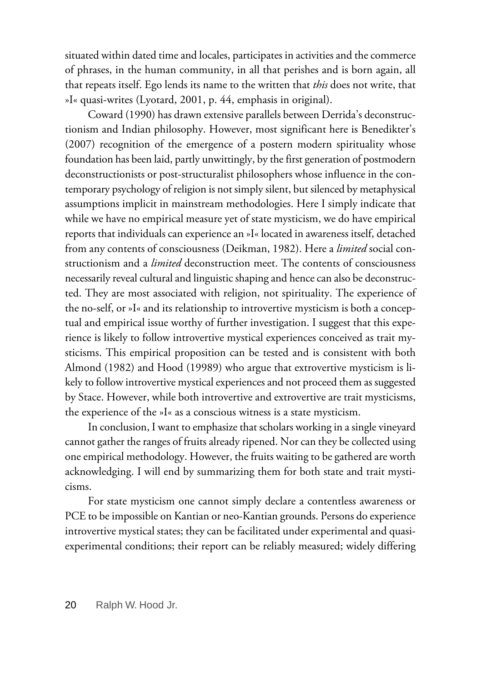situated within dated time and locales, participates in activities and the commerce of phrases, in the human community, in all that perishes and is born again, all that repeats itself. Ego lends its name to the written that *this* does not write, that »I« quasi-writes (Lyotard, 2001, p. 44, emphasis in original).

Coward (1990) has drawn extensive parallels between Derrida's deconstructionism and Indian philosophy. However, most significant here is Benedikter's (2007) recognition of the emergence of a postern modern spirituality whose foundation has been laid, partly unwittingly, by the first generation of postmodern deconstructionists or post-structuralist philosophers whose influence in the contemporary psychology of religion is not simply silent, but silenced by metaphysical assumptions implicit in mainstream methodologies. Here I simply indicate that while we have no empirical measure yet of state mysticism, we do have empirical reports that individuals can experience an »I« located in awareness itself, detached from any contents of consciousness (Deikman, 1982). Here a *limited* social constructionism and a *limited* deconstruction meet. The contents of consciousness necessarily reveal cultural and linguistic shaping and hence can also be deconstructed. They are most associated with religion, not spirituality. The experience of the no-self, or »I« and its relationship to introvertive mysticism is both a conceptual and empirical issue worthy of further investigation. I suggest that this experience is likely to follow introvertive mystical experiences conceived as trait mysticisms. This empirical proposition can be tested and is consistent with both Almond (1982) and Hood (19989) who argue that extrovertive mysticism is likely to follow introvertive mystical experiences and not proceed them as suggested by Stace. However, while both introvertive and extrovertive are trait mysticisms, the experience of the »I« as a conscious witness is a state mysticism.

In conclusion, I want to emphasize that scholars working in a single vineyard cannot gather the ranges of fruits already ripened. Nor can they be collected using one empirical methodology. However, the fruits waiting to be gathered are worth acknowledging. I will end by summarizing them for both state and trait mysticisms.

For state mysticism one cannot simply declare a contentless awareness or PCE to be impossible on Kantian or neo-Kantian grounds. Persons do experience introvertive mystical states; they can be facilitated under experimental and quasiexperimental conditions; their report can be reliably measured; widely differing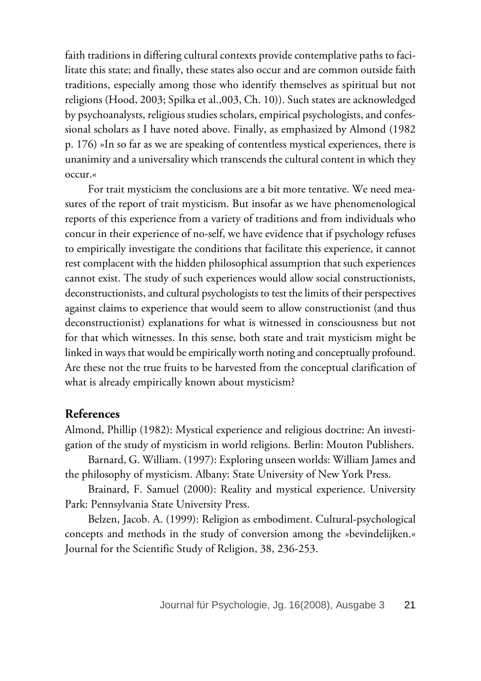faith traditions in differing cultural contexts provide contemplative paths to facilitate this state; and finally, these states also occur and are common outside faith traditions, especially among those who identify themselves as spiritual but not religions (Hood, 2003; Spilka et al.,003, Ch. 10)). Such states are acknowledged by psychoanalysts, religious studies scholars, empirical psychologists, and confessional scholars as I have noted above. Finally, as emphasized by Almond (1982 p. 176) »In so far as we are speaking of contentless mystical experiences, there is unanimity and a universality which transcends the cultural content in which they occur.«

For trait mysticism the conclusions are a bit more tentative. We need measures of the report of trait mysticism. But insofar as we have phenomenological reports of this experience from a variety of traditions and from individuals who concur in their experience of no-self, we have evidence that if psychology refuses to empirically investigate the conditions that facilitate this experience, it cannot rest complacent with the hidden philosophical assumption that such experiences cannot exist. The study of such experiences would allow social constructionists, deconstructionists, and cultural psychologists to test the limits of their perspectives against claims to experience that would seem to allow constructionist (and thus deconstructionist) explanations for what is witnessed in consciousness but not for that which witnesses. In this sense, both state and trait mysticism might be linked in ways that would be empirically worth noting and conceptually profound. Are these not the true fruits to be harvested from the conceptual clarification of what is already empirically known about mysticism?

### **References**

Almond, Phillip (1982): Mystical experience and religious doctrine: An investigation of the study of mysticism in world religions. Berlin: Mouton Publishers.

Barnard, G. William. (1997): Exploring unseen worlds: William James and the philosophy of mysticism. Albany: State University of New York Press.

Brainard, F. Samuel (2000): Reality and mystical experience. University Park: Pennsylvania State University Press.

Belzen, Jacob. A. (1999): Religion as embodiment. Cultural-psychological concepts and methods in the study of conversion among the »bevindelijken.« Journal for the Scientific Study of Religion, 38, 236-253.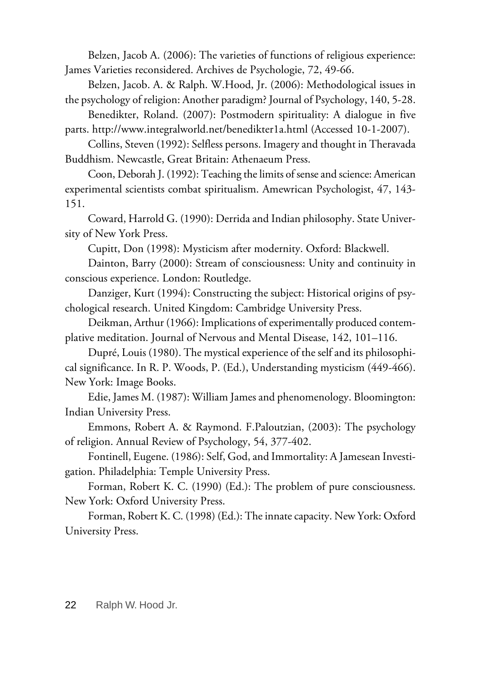Belzen, Jacob A. (2006): The varieties of functions of religious experience: James Varieties reconsidered. Archives de Psychologie, 72, 49-66.

Belzen, Jacob. A. & Ralph. W.Hood, Jr. (2006): Methodological issues in the psychology of religion: Another paradigm? Journal of Psychology, 140, 5-28.

Benedikter, Roland. (2007): Postmodern spirituality: A dialogue in five parts. http://www.integralworld.net/benedikter1a.html (Accessed 10-1-2007).

Collins, Steven (1992): Selfless persons. Imagery and thought in Theravada Buddhism. Newcastle, Great Britain: Athenaeum Press.

Coon, Deborah J. (1992): Teaching the limits of sense and science: American experimental scientists combat spiritualism. Amewrican Psychologist, 47, 143- 151.

Coward, Harrold G. (1990): Derrida and Indian philosophy. State University of New York Press.

Cupitt, Don (1998): Mysticism after modernity. Oxford: Blackwell.

Dainton, Barry (2000): Stream of consciousness: Unity and continuity in conscious experience. London: Routledge.

Danziger, Kurt (1994): Constructing the subject: Historical origins of psychological research. United Kingdom: Cambridge University Press.

Deikman, Arthur (1966): Implications of experimentally produced contemplative meditation. Journal of Nervous and Mental Disease, 142, 101–116.

Dupré, Louis (1980). The mystical experience of the self and its philosophical significance. In R. P. Woods, P. (Ed.), Understanding mysticism (449-466). New York: Image Books.

Edie, James M. (1987): William James and phenomenology. Bloomington: Indian University Press.

Emmons, Robert A. & Raymond. F.Paloutzian, (2003): The psychology of religion. Annual Review of Psychology, 54, 377-402.

Fontinell, Eugene. (1986): Self, God, and Immortality: A Jamesean Investigation. Philadelphia: Temple University Press.

Forman, Robert K. C. (1990) (Ed.): The problem of pure consciousness. New York: Oxford University Press.

Forman, Robert K. C. (1998) (Ed.): The innate capacity. New York: Oxford University Press.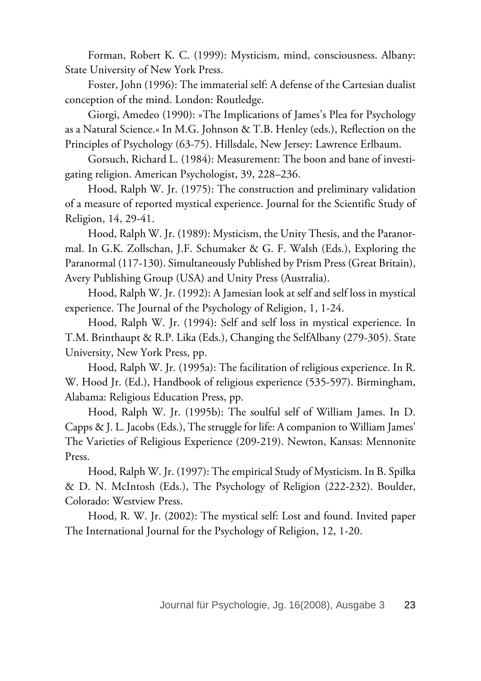Forman, Robert K. C. (1999): Mysticism, mind, consciousness. Albany: State University of New York Press.

Foster, John (1996): The immaterial self: A defense of the Cartesian dualist conception of the mind. London: Routledge.

Giorgi, Amedeo (1990): »The Implications of James's Plea for Psychology as a Natural Science.« In M.G. Johnson & T.B. Henley (eds.), Reflection on the Principles of Psychology (63-75). Hillsdale, New Jersey: Lawrence Erlbaum.

Gorsuch, Richard L. (1984): Measurement: The boon and bane of investigating religion. American Psychologist, 39, 228–236.

Hood, Ralph W. Jr. (1975): The construction and preliminary validation of a measure of reported mystical experience. Journal for the Scientific Study of Religion, 14, 29-41.

Hood, Ralph W. Jr. (1989): Mysticism, the Unity Thesis, and the Paranormal. In G.K. Zollschan, J.F. Schumaker & G. F. Walsh (Eds.), Exploring the Paranormal (117-130). Simultaneously Published by Prism Press (Great Britain), Avery Publishing Group (USA) and Unity Press (Australia).

Hood, Ralph W. Jr. (1992): A Jamesian look at self and self loss in mystical experience. The Journal of the Psychology of Religion, 1, 1-24.

Hood, Ralph W. Jr. (1994): Self and self loss in mystical experience. In T.M. Brinthaupt & R.P. Lika (Eds.), Changing the SelfAlbany (279-305). State University, New York Press, pp.

Hood, Ralph W. Jr. (1995a): The facilitation of religious experience. In R. W. Hood Jr. (Ed.), Handbook of religious experience (535-597). Birmingham, Alabama: Religious Education Press, pp.

Hood, Ralph W. Jr. (1995b): The soulful self of William James. In D. Capps & J. L. Jacobs (Eds.), The struggle for life: A companion to William James' The Varieties of Religious Experience (209-219). Newton, Kansas: Mennonite Press.

Hood, Ralph W. Jr. (1997): The empirical Study of Mysticism. In B. Spilka & D. N. McIntosh (Eds.), The Psychology of Religion (222-232). Boulder, Colorado: Westview Press.

Hood, R. W. Jr. (2002): The mystical self: Lost and found. Invited paper The International Journal for the Psychology of Religion, 12, 1-20.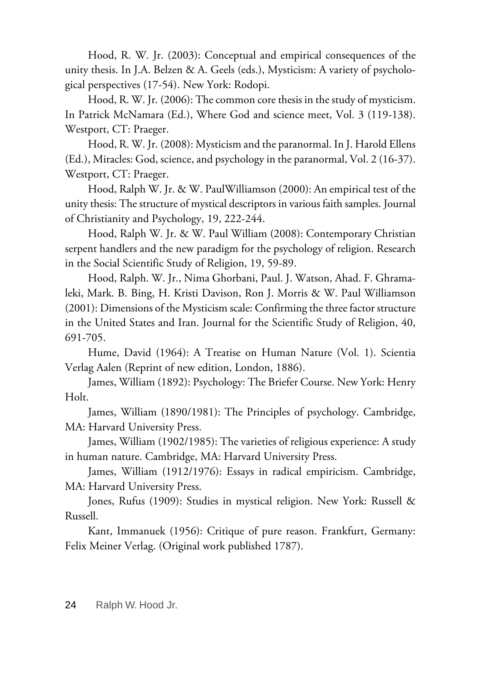Hood, R. W. Jr. (2003): Conceptual and empirical consequences of the unity thesis. In J.A. Belzen & A. Geels (eds.), Mysticism: A variety of psychological perspectives (17-54). New York: Rodopi.

Hood, R. W. Jr. (2006): The common core thesis in the study of mysticism. In Patrick McNamara (Ed.), Where God and science meet, Vol. 3 (119-138). Westport, CT: Praeger.

Hood, R. W. Jr. (2008): Mysticism and the paranormal. In J. Harold Ellens (Ed.), Miracles: God, science, and psychology in the paranormal, Vol. 2 (16-37). Westport, CT: Praeger.

Hood, Ralph W. Jr. & W. PaulWilliamson (2000): An empirical test of the unity thesis: The structure of mystical descriptors in various faith samples. Journal of Christianity and Psychology, 19, 222-244.

Hood, Ralph W. Jr. & W. Paul William (2008): Contemporary Christian serpent handlers and the new paradigm for the psychology of religion. Research in the Social Scientific Study of Religion, 19, 59-89.

Hood, Ralph. W. Jr., Nima Ghorbani, Paul. J. Watson, Ahad. F. Ghramaleki, Mark. B. Bing, H. Kristi Davison, Ron J. Morris & W. Paul Williamson (2001): Dimensions of the Mysticism scale: Confirming the three factor structure in the United States and Iran. Journal for the Scientific Study of Religion, 40, 691-705.

Hume, David (1964): A Treatise on Human Nature (Vol. 1). Scientia Verlag Aalen (Reprint of new edition, London, 1886).

James, William (1892): Psychology: The Briefer Course. New York: Henry Holt.

James, William (1890/1981): The Principles of psychology. Cambridge, MA: Harvard University Press.

James, William (1902/1985): The varieties of religious experience: A study in human nature. Cambridge, MA: Harvard University Press.

James, William (1912/1976): Essays in radical empiricism. Cambridge, MA: Harvard University Press.

Jones, Rufus (1909): Studies in mystical religion. New York: Russell & Russell.

Kant, Immanuek (1956): Critique of pure reason. Frankfurt, Germany: Felix Meiner Verlag. (Original work published 1787).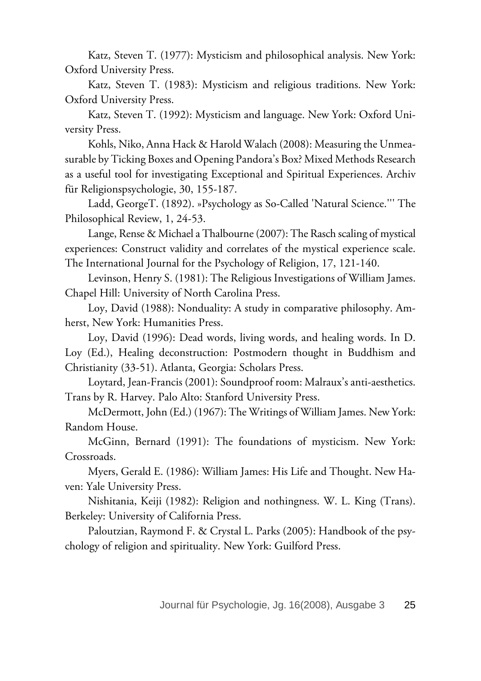Katz, Steven T. (1977): Mysticism and philosophical analysis. New York: Oxford University Press.

Katz, Steven T. (1983): Mysticism and religious traditions. New York: Oxford University Press.

Katz, Steven T. (1992): Mysticism and language. New York: Oxford University Press.

Kohls, Niko, Anna Hack & Harold Walach (2008): Measuring the Unmeasurable by Ticking Boxes and Opening Pandora's Box? Mixed Methods Research as a useful tool for investigating Exceptional and Spiritual Experiences. Archiv für Religionspsychologie, 30, 155-187.

Ladd, GeorgeT. (1892). »Psychology as So-Called 'Natural Science.''' The Philosophical Review, 1, 24-53.

Lange, Rense & Michael a Thalbourne (2007): The Rasch scaling of mystical experiences: Construct validity and correlates of the mystical experience scale. The International Journal for the Psychology of Religion, 17, 121-140.

Levinson, Henry S. (1981): The Religious Investigations of William James. Chapel Hill: University of North Carolina Press.

Loy, David (1988): Nonduality: A study in comparative philosophy. Amherst, New York: Humanities Press.

Loy, David (1996): Dead words, living words, and healing words. In D. Loy (Ed.), Healing deconstruction: Postmodern thought in Buddhism and Christianity (33-51). Atlanta, Georgia: Scholars Press.

Loytard, Jean-Francis (2001): Soundproof room: Malraux's anti-aesthetics. Trans by R. Harvey. Palo Alto: Stanford University Press.

McDermott, John (Ed.) (1967): The Writings of William James. New York: Random House.

McGinn, Bernard (1991): The foundations of mysticism. New York: Crossroads.

Myers, Gerald E. (1986): William James: His Life and Thought. New Haven: Yale University Press.

Nishitania, Keiji (1982): Religion and nothingness. W. L. King (Trans). Berkeley: University of California Press.

Paloutzian, Raymond F. & Crystal L. Parks (2005): Handbook of the psychology of religion and spirituality. New York: Guilford Press.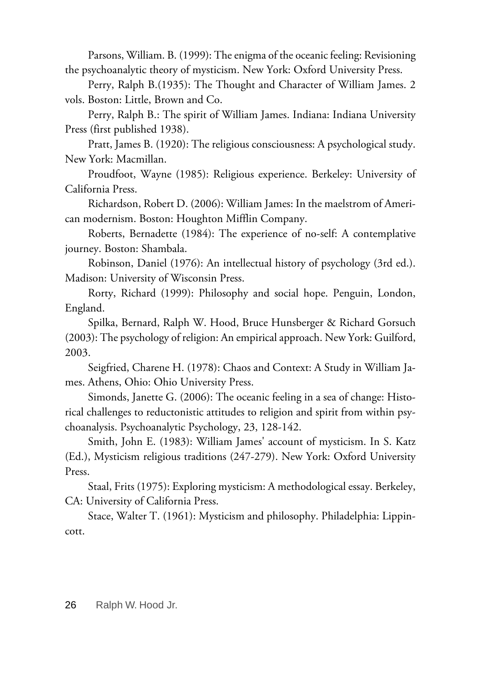Parsons, William. B. (1999): The enigma of the oceanic feeling: Revisioning the psychoanalytic theory of mysticism. New York: Oxford University Press.

Perry, Ralph B.(1935): The Thought and Character of William James. 2 vols. Boston: Little, Brown and Co.

Perry, Ralph B.: The spirit of William James. Indiana: Indiana University Press (first published 1938).

Pratt, James B. (1920): The religious consciousness: A psychological study. New York: Macmillan.

Proudfoot, Wayne (1985): Religious experience. Berkeley: University of California Press.

Richardson, Robert D. (2006): William James: In the maelstrom of American modernism. Boston: Houghton Mifflin Company.

Roberts, Bernadette (1984): The experience of no-self: A contemplative journey. Boston: Shambala.

Robinson, Daniel (1976): An intellectual history of psychology (3rd ed.). Madison: University of Wisconsin Press.

Rorty, Richard (1999): Philosophy and social hope. Penguin, London, England.

Spilka, Bernard, Ralph W. Hood, Bruce Hunsberger & Richard Gorsuch (2003): The psychology of religion: An empirical approach. New York: Guilford, 2003.

Seigfried, Charene H. (1978): Chaos and Context: A Study in William James. Athens, Ohio: Ohio University Press.

Simonds, Janette G. (2006): The oceanic feeling in a sea of change: Historical challenges to reductonistic attitudes to religion and spirit from within psychoanalysis. Psychoanalytic Psychology, 23, 128-142.

Smith, John E. (1983): William James' account of mysticism. In S. Katz (Ed.), Mysticism religious traditions (247-279). New York: Oxford University Press.

Staal, Frits (1975): Exploring mysticism: A methodological essay. Berkeley, CA: University of California Press.

Stace, Walter T. (1961): Mysticism and philosophy. Philadelphia: Lippincott.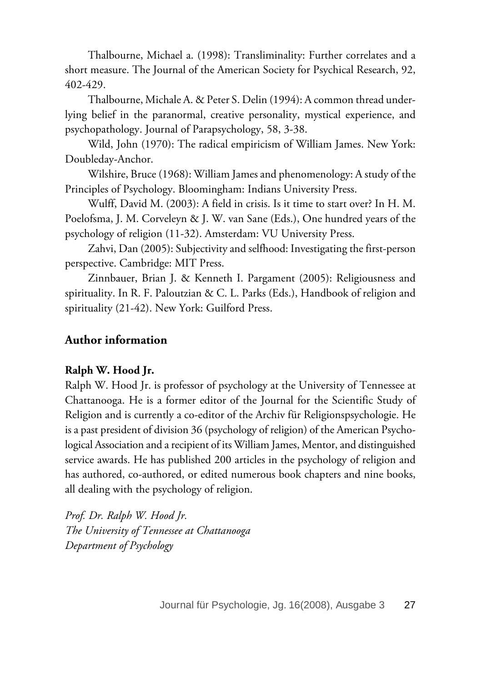Thalbourne, Michael a. (1998): Transliminality: Further correlates and a short measure. The Journal of the American Society for Psychical Research, 92, 402-429.

Thalbourne, Michale A. & Peter S. Delin (1994): A common thread underlying belief in the paranormal, creative personality, mystical experience, and psychopathology. Journal of Parapsychology, 58, 3-38.

Wild, John (1970): The radical empiricism of William James. New York: Doubleday-Anchor.

Wilshire, Bruce (1968): William James and phenomenology: A study of the Principles of Psychology. Bloomingham: Indians University Press.

Wulff, David M. (2003): A field in crisis. Is it time to start over? In H. M. Poelofsma, J. M. Corveleyn & J. W. van Sane (Eds.), One hundred years of the psychology of religion (11-32). Amsterdam: VU University Press.

Zahvi, Dan (2005): Subjectivity and selfhood: Investigating the first-person perspective. Cambridge: MIT Press.

Zinnbauer, Brian J. & Kenneth I. Pargament (2005): Religiousness and spirituality. In R. F. Paloutzian & C. L. Parks (Eds.), Handbook of religion and spirituality (21-42). New York: Guilford Press.

# **Author information**

### **Ralph W. Hood Jr.**

Ralph W. Hood Jr. is professor of psychology at the University of Tennessee at Chattanooga. He is a former editor of the Journal for the Scientific Study of Religion and is currently a co-editor of the Archiv für Religionspsychologie. He is a past president of division 36 (psychology of religion) of the American Psychological Association and a recipient of its William James, Mentor, and distinguished service awards. He has published 200 articles in the psychology of religion and has authored, co-authored, or edited numerous book chapters and nine books, all dealing with the psychology of religion.

*Prof. Dr. Ralph W. Hood Jr. The University of Tennessee at Chattanooga Department of Psychology*